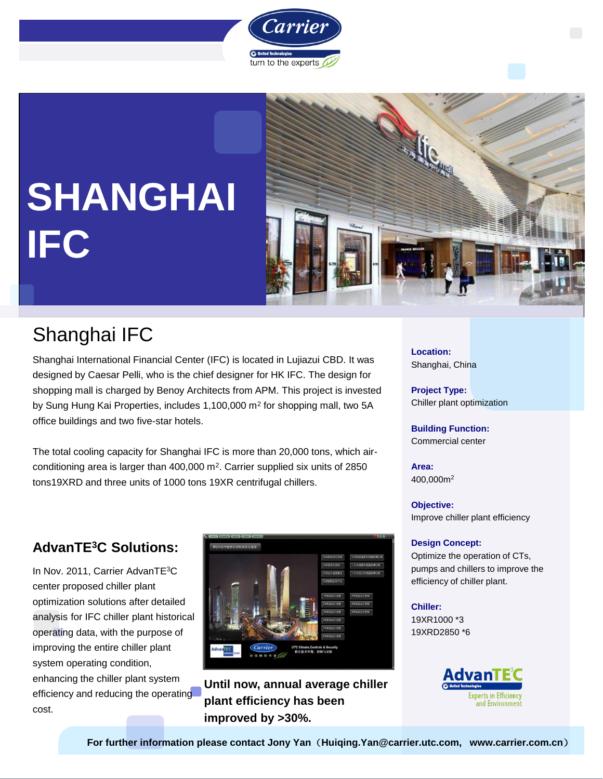



# **SHANGHAI IFC**

### Shanghai IFC

Shanghai International Financial Center (IFC) is located in Lujiazui CBD. It was designed by Caesar Pelli, who is the chief designer for HK IFC. The design for shopping mall is charged by Benoy Architects from APM. This project is invested by Sung Hung Kai Properties, includes 1,100,000 m<sup>2</sup> for shopping mall, two 5A office buildings and two five-star hotels.

The total cooling capacity for Shanghai IFC is more than 20,000 tons, which airconditioning area is larger than 400,000 m<sup>2</sup>. Carrier supplied six units of 2850 tons19XRD and three units of 1000 tons 19XR centrifugal chillers.

**Location:** Shanghai, China

**Project Type:** Chiller plant optimization

**Building Function:** Commercial center

**Area:** 400,000m<sup>2</sup>

**Objective:**  Improve chiller plant efficiency

#### **Design Concept:**

Optimize the operation of CTs, pumps and chillers to improve the efficiency of chiller plant.

#### **Chiller:**

19XR1000 \*3 19XRD2850 \*6



### **AdvanTE<sup>3</sup>C Solutions:**

In Nov. 2011, Carrier AdvanTE<sup>3</sup>C center proposed chiller plant optimization solutions after detailed analysis for IFC chiller plant historical operating data, with the purpose of improving the entire chiller plant system operating condition, enhancing the chiller plant system efficiency and reducing the operating cost.



**Until now, annual average chiller plant efficiency has been improved by >30%.**